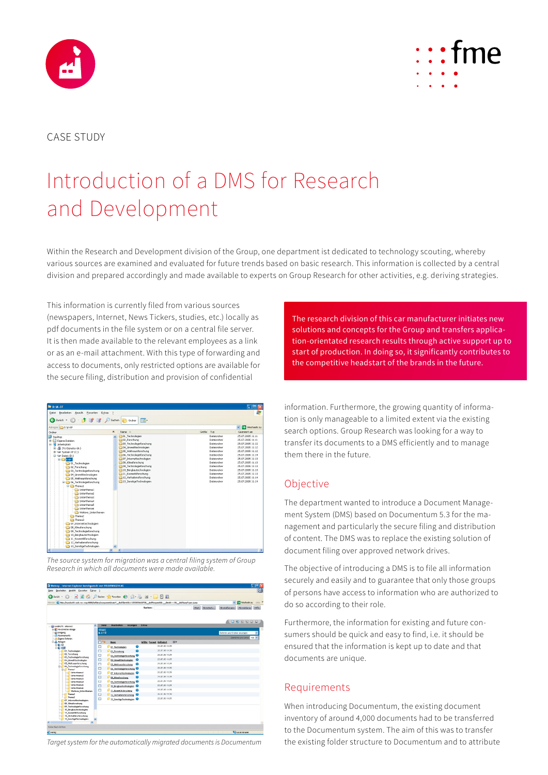



#### CASE STUDY

# Introduction of a DMS for Research and Development

Within the Research and Development division of the Group, one department ist dedicated to technology scouting, whereby various sources are examined and evaluated for future trends based on basic research. This information is collected by a central division and prepared accordingly and made available to experts on Group Research for other activities, e.g. deriving strategies.

This information is currently filed from various sources (newspapers, Internet, News Tickers, studies, etc.) locally as pdf documents in the file system or on a central file server. It is then made available to the relevant employees as a link or as an e-mail attachment. With this type of forwarding and access to documents, only restricted options are available for the secure filing, distribution and provision of confidential

| <b>BED-W-FF</b>                                                                                                                                                                                                                                                                                                                                                                                                                                                                                                                                                                                                                                                                                                     |                          |                                                                                                                                                                                                                                                                                                                                |           |                                                                                                                                                                                                 | E 118                                                                                                                                                                                                                                                            |
|---------------------------------------------------------------------------------------------------------------------------------------------------------------------------------------------------------------------------------------------------------------------------------------------------------------------------------------------------------------------------------------------------------------------------------------------------------------------------------------------------------------------------------------------------------------------------------------------------------------------------------------------------------------------------------------------------------------------|--------------------------|--------------------------------------------------------------------------------------------------------------------------------------------------------------------------------------------------------------------------------------------------------------------------------------------------------------------------------|-----------|-------------------------------------------------------------------------------------------------------------------------------------------------------------------------------------------------|------------------------------------------------------------------------------------------------------------------------------------------------------------------------------------------------------------------------------------------------------------------|
| Bearbeiten Ansicht Eavoriten Extras<br>Datei                                                                                                                                                                                                                                                                                                                                                                                                                                                                                                                                                                                                                                                                        | $\overline{z}$           | 4                                                                                                                                                                                                                                                                                                                              |           |                                                                                                                                                                                                 |                                                                                                                                                                                                                                                                  |
| <b>3</b> Zurück • ○ • 方 (ず ) ■ △ Suchen Bordner                                                                                                                                                                                                                                                                                                                                                                                                                                                                                                                                                                                                                                                                     |                          | <b>FEE</b>                                                                                                                                                                                                                                                                                                                     |           |                                                                                                                                                                                                 |                                                                                                                                                                                                                                                                  |
| Adresse D:V-EF                                                                                                                                                                                                                                                                                                                                                                                                                                                                                                                                                                                                                                                                                                      |                          |                                                                                                                                                                                                                                                                                                                                |           |                                                                                                                                                                                                 | Wechseln zu<br>$\vee$                                                                                                                                                                                                                                            |
| Ordner                                                                                                                                                                                                                                                                                                                                                                                                                                                                                                                                                                                                                                                                                                              | $\times$                 | Nome 4                                                                                                                                                                                                                                                                                                                         | Größe Typ |                                                                                                                                                                                                 | Geändert am                                                                                                                                                                                                                                                      |
| <b>Desktop</b><br>Eigene Dateien<br>R Arbeitsplatz<br>田 晶 316-Diskette (A:)<br>El <ie (c:)<br="" system="" xp="">El-Sie Daten (D:)<br/>B CK-EF<br/>01 Technologien<br/>02 Forschung<br/>03_Technologieforschung<br/>04 Unwelttechnologien<br/>05 Weltraumforschung<br/><b>B</b> C 06 Technologieforschung<br/><sup>C</sup> Themal<br/><b>Ch</b> Unterthema1<br/>Unterthema2<br/>Unterthema3<br/>Unterthema4<br/><b>Unterthema5</b><br/><b>Unterthema6</b><br/>Weitere Unterthemen<br/>Thema<sub>2</sub><br/>Thema3<br/>07 Internettechnologien<br/>108 Klimaforschung<br/>1 09 Technologieforschung<br/>10 Bergbautechnologien<br/>11 Kosmetikforschung<br/>12 Verhaltensforschung<br/>13 SonstigeTechnologien</ie> | $\overline{\phantom{a}}$ | 01 Technologien<br>02 Forschung<br>103 Technologieforschung<br>104 Umwektechnologien<br>105 Weltraumforschung<br>106 Technologieforschung<br>107 Internettechnologien<br>208 Klimaforschung<br>209 Technologieforschung<br>10_Bergbautechnologien<br>11 Kosmetikforschung<br>12 Verhaltensforschung<br>13 SonstigeTechnologien |           | Dateiordner<br>Dateiordner<br>Dateiordner<br>Dateiordner<br>Dateiordner<br>Dateiordner<br>Dateiordner<br>Dateiordner<br>Dateiordner<br>Dateiordner<br>Dateiordner<br>Dateiordner<br>Dateiordner | 25.07.2005 11:11<br>25.07.2005 11:11<br>25.07.2005.11:12<br>25.07.2005 11:12<br>25.07.2005 11:12<br>25.07.2005 11:14<br>25.07.2005 11:13<br>25.07.2005 11:13<br>25.07.2005 11:13<br>25.07.2005 11:13<br>25.07.2005 11:13<br>25.07.2005 11:14<br>25.07.2005 11:14 |
|                                                                                                                                                                                                                                                                                                                                                                                                                                                                                                                                                                                                                                                                                                                     | $\geq$                   | $\epsilon$                                                                                                                                                                                                                                                                                                                     | m         |                                                                                                                                                                                                 | $\rightarrow$                                                                                                                                                                                                                                                    |

*The source system for migration was a central filing system of Group Research in which all documents were made available.*

| 2 Webtop - Internet Explorer bereitgestellt von VOLKSWAGEN AG                                                                                       | $\Box$ e x |                                            |                       |                |                    |                                                           |
|-----------------------------------------------------------------------------------------------------------------------------------------------------|------------|--------------------------------------------|-----------------------|----------------|--------------------|-----------------------------------------------------------|
| Dearbeken Ansicht Foyoriten Extras ?<br>Datei                                                                                                       |            |                                            |                       |                |                    | œ                                                         |
| 3 Zurück ·                                                                                                                                          |            | ■ 日台 Dischen 女 Fonction → ○ △ △ 国· ■ □ 日 説 |                       |                |                    |                                                           |
| Adresse @ http://sundoc01.wob.vw.vwg:0000/kefdms/component/main?_drafClentId=11222003660720_drafRequestId=_clent1---20_drafAunpType-sunp            |            |                                            |                       |                |                    | <b>ET</b> Wechseln zu<br>Links »<br>$\sim$                |
|                                                                                                                                                     |            |                                            | Suchen:               |                | Start<br>Erweitert | $Hil'_{\mathcal{R}}$<br>Einstellungen<br><b>Abmeldung</b> |
|                                                                                                                                                     |            |                                            |                       |                |                    | DEREDO                                                    |
| lini vwdns1t : ehevers                                                                                                                              | Dated<br>۵ | Bearbelten<br>Anzeigen                     | Extrac                |                |                    |                                                           |
| is all Personache Ablage<br><b>El Engang</b>                                                                                                        | Ablagen    |                                            |                       |                |                    |                                                           |
| C Abornements                                                                                                                                       | KITE       |                                            |                       |                |                    | Dateien und Ordner anzeigen                               |
| Elgane Datelen                                                                                                                                      |            |                                            |                       |                |                    | Elemente pro Serte: 100 v                                 |
| C  Nologon                                                                                                                                          | $\Box$     | <b>Name</b>                                | Grübe Formet Geändert | <b>BEP</b>     |                    |                                                           |
| 密觀区<br>白色长野                                                                                                                                         | □          | 01 Technologien                            | ⊕                     | 25.07.05 11:39 |                    |                                                           |
| 01 Technologien                                                                                                                                     | Π          | 02_Forschung                               | $\bullet$             | 25.07.05.11:39 |                    |                                                           |
| 02 Forschung                                                                                                                                        | Ξ          | 03_Technologieforcohung                    |                       | 25.07.05 11:39 |                    |                                                           |
| 03 Technologieforzchung<br>04 Unwelttechnologien                                                                                                    | □          | ۰<br>04 Unweittechnologien                 |                       | 25.07.05.11:39 |                    |                                                           |
| 05_Welt.raumforschung                                                                                                                               | $\Box$     | os Weltzenforschung                        | Θ                     | 25.07.05.11:39 |                    |                                                           |
| 04. Technologie for schurage                                                                                                                        | □          | 06_Technologieforschung                    |                       | 26.07.05 11:39 |                    |                                                           |
| S-C Theme!<br>Linterthema1                                                                                                                          | π          |                                            |                       | 25.07.05 11:39 |                    |                                                           |
| Unterthema2                                                                                                                                         |            | 07 Internettechnologien <sup>0</sup>       |                       | 25.07.05.11:39 |                    |                                                           |
| Unterthema3                                                                                                                                         | □          | 08_Nineforschung                           | Θ                     |                |                    |                                                           |
| <b>Unterthema4</b>                                                                                                                                  | Ш          | U9 TechnologieNerschung <sup>8</sup>       |                       | 25.07.05 11:39 |                    |                                                           |
| <b>Unterthemas</b><br><b>Lindertheman</b>                                                                                                           | ◻          | 10 Borgboutcchnologien <sup>0</sup>        |                       | 25.07.05 11:39 |                    |                                                           |
| Weitere Unterthenen                                                                                                                                 | □          | 11_Kosmetik.forschung                      | ø                     | 25.07.05.11:39 |                    |                                                           |
| Thema2                                                                                                                                              | O          | 12 Verhaltensforschung <sup>8</sup>        |                       | 25.07.05 11:39 |                    |                                                           |
| Thoma3<br>07 Internettechnologien                                                                                                                   | Ω          | 13 SenstineTechnologien <sup>0</sup>       |                       | 25.07.05 11:39 |                    |                                                           |
| 08 Kingforschung<br>09 Technologieforschung<br>10_Dergbautechnologien<br>11_Kosmetikforschung<br>12_Verhaltens forschung<br>13_SonstigeTechnologien |            |                                            |                       |                |                    |                                                           |
| $\geq$                                                                                                                                              |            |                                            |                       |                |                    |                                                           |
| Keine Nachrichten                                                                                                                                   |            |                                            |                       |                |                    |                                                           |
| <b>IBI</b> Fertig                                                                                                                                   |            |                                            |                       |                |                    | Local intranet                                            |

*Target system for the automatically migrated documents is Documentum*

The research division of this car manufacturer initiates new solutions and concepts for the Group and transfers application-orientated research results through active support up to start of production. In doing so, it significantly contributes to the competitive headstart of the brands in the future.

information. Furthermore, the growing quantity of information is only manageable to a limited extent via the existing search options. Group Research was looking for a way to transfer its documents to a DMS efficiently and to manage them there in the future.

#### Objective

The department wanted to introduce a Document Management System (DMS) based on Documentum 5.3 for the management and particularly the secure filing and distribution of content. The DMS was to replace the existing solution of document filing over approved network drives.

The objective of introducing a DMS is to file all information securely and easily and to guarantee that only those groups of persons have access to information who are authorized to do so according to their role.

Furthermore, the information for existing and future consumers should be quick and easy to find, i.e. it should be ensured that the information is kept up to date and that documents are unique.

#### Requirements

When introducing Documentum, the existing document inventory of around 4,000 documents had to be transferred to the Documentum system. The aim of this was to transfer the existing folder structure to Documentum and to attribute